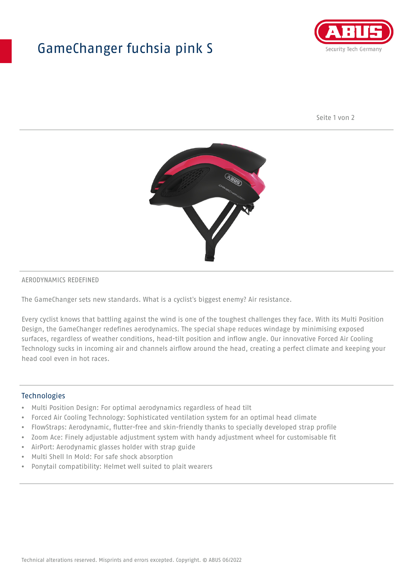## GameChanger fuchsia pink S



Seite 1 von 2



#### AERODYNAMICS REDEFINED

The GameChanger sets new standards. What is a cyclist's biggest enemy? Air resistance.

Every cyclist knows that battling against the wind is one of the toughest challenges they face. With its Multi Position Design, the GameChanger redefines aerodynamics. The special shape reduces windage by minimising exposed surfaces, regardless of weather conditions, head-tilt position and inflow angle. Our innovative Forced Air Cooling Technology sucks in incoming air and channels airflow around the head, creating a perfect climate and keeping your head cool even in hot races.

#### Technologies

- Multi Position Design: For optimal aerodynamics regardless of head tilt
- Forced Air Cooling Technology: Sophisticated ventilation system for an optimal head climate
- FlowStraps: Aerodynamic, flutter-free and skin-friendly thanks to specially developed strap profile
- Zoom Ace: Finely adjustable adjustment system with handy adjustment wheel for customisable fit
- AirPort: Aerodynamic glasses holder with strap guide
- Multi Shell In Mold: For safe shock absorption
- Ponytail compatibility: Helmet well suited to plait wearers